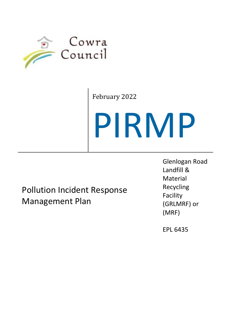

February 2022

# PIRMP

Pollution Incident Response Management Plan

Glenlogan Road Landfill & Material Recycling Facility (GRLMRF) or (MRF)

EPL 6435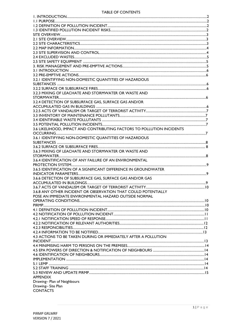#### TABLE OF CONTENTS

| 3.2.1 IDENTIFYING NON-DOMESTIC QUANTITIES OF HAZARDOUS                 |  |
|------------------------------------------------------------------------|--|
|                                                                        |  |
|                                                                        |  |
| 3.2.3 MIXING OF LEACHATE AND STORMWATER OR WASTE AND                   |  |
|                                                                        |  |
| 3.2.4 DETECTION OF SUBSURFACE GAS, SURFACE GAS AND/OR                  |  |
|                                                                        |  |
|                                                                        |  |
|                                                                        |  |
|                                                                        |  |
|                                                                        |  |
|                                                                        |  |
| 3.6 LIKELIHOOD, IMPACT AND CONTRIBUTING FACTORS TO POLLUTION INCIDENTS |  |
|                                                                        |  |
| 3.6.1 IDENTIFYING NON-DOMESTIC QUANTITIES OF HAZARDOUS                 |  |
|                                                                        |  |
|                                                                        |  |
| 3.6.3 MIXING OF LEACHATE AND STORMWATER OR WASTE AND                   |  |
|                                                                        |  |
| 3.6.4 IDENTIFICATION OF ANY FAILURE OF AN ENVIRONMENTAL                |  |
|                                                                        |  |
| 3.6.5 IDENTIFICATION OF A SIGNIFICANT DIFFERENCE IN GROUNDWATER        |  |
|                                                                        |  |
| 3.6.6 DETECTION OF SUBSURFACE GAS, SURFACE GAS AND/OR GAS              |  |
|                                                                        |  |
|                                                                        |  |
| 3.6.8 ANY OTHER INCIDENT OR OBSERVATION THAT COULD POTENTIALLY         |  |
| POSE AN IMMEDIATE ENVIRONMENTAL HAZARD OUTSIDE NORMAL                  |  |
|                                                                        |  |
|                                                                        |  |
|                                                                        |  |
|                                                                        |  |
|                                                                        |  |
|                                                                        |  |
|                                                                        |  |
|                                                                        |  |
| 4.3 ACTIONS TO BE TAKEN DURING OR IMMEDIATELY AFTER A POLLUTION        |  |
|                                                                        |  |
|                                                                        |  |
|                                                                        |  |
|                                                                        |  |
|                                                                        |  |
|                                                                        |  |
|                                                                        |  |
|                                                                        |  |
| <b>APPENDIX</b>                                                        |  |
| Drawing- Plan of Neighbours                                            |  |
| Drawing-Site Plan                                                      |  |
| <b>CONTACTS</b>                                                        |  |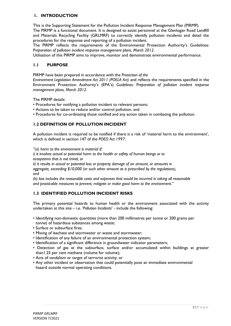#### **1. INTRODUCTION**

This is the Supporting Statement for the Pollution Incident Response Management Plan (PIRMP). The PIRMP is a functional document. It is designed to assist personnel at the Glenlogan Road Landfill and Materials Recycling Facility (GRLMRF) to correctly identify pollution incidents and detail the procedures for the response and reporting of a pollution incident.

The PIRMP reflects the requirements of the Environmental Protection Authority's Guidelines: *Preparation of pollution incident response management plans, March 2012.*

Utilisation of this PIRMP aims to improve, monitor and demonstrate environmental performance.

#### **1.1 PURPOSE**

PIRMP have been prepared in accordance with the *Protection of the*

*Environment Legislation Amendment Act 2011 (POELA Act)* and reflects the requirements specified in the Environment Protection Authority's (EPA's) *Guidelines: Preparation of pollution incident response management plans, March 2012.*

The PIRMP details:

- Procedures for notifying a pollution incident to relevant persons;
- Actions to be taken to reduce and/or control pollution; and
- Procedures for co-ordinating those notified and any action taken in combating the pollution.

#### **1.2 DEFINITION OF POLLUTION INCIDENT**

A pollution incident is required to be notified if there is a risk of 'material harm to the environment', which is defined in section 147 of the *POEO Act 1997*:

*"(a) harm to the environment is material if:*

*i) it involves actual or potential harm to the health or safety of human beings or to ecosystems that is not trivial, or*

*ii) it results in actual or potential loss or property damage of an amount, or amounts in*

*aggregate, exceeding \$10,000 (or such other amount as is prescribed by the regulations), and*

*(b) loss includes the reasonable costs and expenses that would be incurred in taking all reasonable and practicable measures to prevent, mitigate or make good harm to the environment."*

#### **1.3 IDENTIFIED POLLUTION INCIDENT RISKS**

The primary potential hazards to human health or the environment associated with the activity undertaken at this site – i.e. '*Pollution Incidents*' - include the following:

- Identifying non-domestic quantities (more than 200 millimetres per tonne or 200 grams per tonne) of hazardous substances among waste;
- Surface or subsurface fires;
- Mixing of leachate and stormwater or waste and stormwater;
- Identification of any failure of an environmental protection system;
- Identification of a significant difference in groundwater indicator parameters;
- Detection of gas at the subsurface, surface and/or accumulated within buildings at greater than1.25 per cent methane (volume for volume);
- Acts of vandalism or target of terrorist activity; or
- Any other incident or observation that could potentially pose an immediate environmental hazard outside normal operating conditions.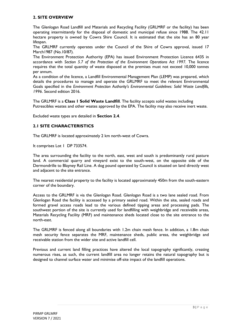#### **2. SITE OVERVIEW**

The Glenlogan Road Landfill and Materials and Recycling Facility (GRLMRF or the facility) has been operating intermittently for the disposal of domestic and municipal refuse since 1988. The 42.11 hectare property is owned by Cowra Shire Council. It is estimated that the site has an 80 year lifespan.

The GRLMRF currently operates under the Council of the Shire of Cowra approval, issued 17 March1987 (No.10/87).

The Environment Protection Authority (EPA) has issued Environment Protection Licence 6435 in accordance with *Section 5.7 of the Protection of the Environment Operations Act 1997.* The licence requires that the total quantity of waste disposed at the premises must not exceed 10,000 tonnes per annum.

As a condition of the licence, a Landfill Environmental Management Plan (LEMP) was prepared, which details the procedures to manage and operate the GRLMRF to meet the relevant Environmental Goals specified in the *Environment Protection Authority's Environmental Guidelines: Solid Waste Landfills, 1996*. Second edition 2016.

The GRLMRF is a **Class 1 Solid Waste Landfill**. The facility accepts solid wastes including Putrescibles wastes and other wastes approved by the EPA. The facility may also receive inert waste.

Excluded waste types are detailed in **Section 2.4**.

#### **2.1 SITE CHARACTERISTICS**

The GRLMRF is located approximately 2 km north-west of Cowra.

It comprises Lot 1 DP 733574.

The area surrounding the facility to the north, east, west and south is predominantly rural pasture land. A commercial quarry and vineyard exist to the south-west, on the opposite side of the Dermondrille to Blayney Rail Line. A dog pound operated by Council is situated on land directly west and adjacent to the site entrance.

The nearest residential property to the facility is located approximately 450m from the south-eastern corner of the boundary.

Access to the GRLMRF is via the Glenlogan Road. Glenlogan Road is a two lane sealed road. From Glenlogan Road the facility is accessed by a primary sealed road. Within the site, sealed roads and formed gravel access roads lead to the various defined tipping areas and processing pads. The southwest portion of the site is currently used for landfilling with weighbridge and receivable areas, Materials Recycling Facility (MRF) and maintenance sheds located close to the site entrance to the north-east.

The GRLMRF is fenced along all boundaries with 1.2m chain mesh fence. In addition, a 1.8m chain mesh security fence separates the MRF, maintenance sheds, public areas, the weighbridge and receivable station from the wider site and active landfill cell.

Previous and current land filling practices have altered the local topography significantly, creating numerous rises, as such, the current landfill area no longer retains the natural topography but is designed to channel surface water and minimise off-site impact of the landfill operations.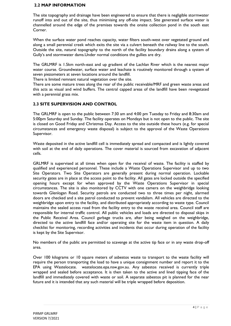#### **2.2 MAP INFORMATION**

The site topography and drainage have been engineered to ensure that there is negligible stormwater runoff into and out of the site, thus minimising any off-site impact. Site generated surface water is channelled around the edge of the premises towards the onsite collection pond in the south east Corner.

When the surface water pond reaches capacity, water filters south-west over vegetated ground and along a small perennial creek which exits the site via a culvert beneath the railway line to the south. Outside the site, natural topography to the north of the facility boundary drains along a system of Gully's and stormwater dams.Under normal conditions the gullies are dry.

The GRLMRF is 1.5km north-east and up gradient of the Lachlan River which is the nearest major water course. Groundwater, surface water and leachate is routinely monitored through a system of seven piezometers at seven locations around the landfill.

There is limited remnant natural vegetation over the site.

There are some mature trees along the rear of the public receivable/MRF and green waste areas and this acts as visual and wind buffers. The central capped areas of the landfill have been revegetated with a perennial grass mix.

#### **2.3 SITE SUPERVISION AND CONTROL**

The GRLMRF is open to the public between 7:30 am and 4:00 pm Tuesday to Friday and 8:30am and 5:00pm Saturday and Sunday. The facility operates on Mondays but is not open to the public. The site is closed on Good Friday and Christmas Day. Access to the site outside these hours (e.g. for special circumstances and emergency waste disposal) is subject to the approval of the Waste Operations Supervisor.

Waste deposited in the active landfill cell is immediately spread and compacted and is lightly covered with soil at the end of daily operations. The cover material is sourced from excavation of adjacent cells.

GRLMRF is supervised at all times when open for the receival of waste. The facility is staffed by qualified and experienced personnel. These include a Waste Operations Supervisor and up to two Site Operators. Two Site Operators are generally present during normal operation. Lockable security gates are in place at the access point to the facility. All gates are locked outside the specified opening hours except for when approved by the Waste Operations Supervisor in special circumstances. The site is also monitored by CCTV with one camera on the weighbridge looking towards Glenlogan Road. Security patrols are conducted two to three times per night, alarmed doors are checked and a site patrol conducted to prevent vandalism. All vehicles are directed to the weighbridge upon entry to the facility, and distributed appropriately according to waste type. Council maintains the sealed access road from the facility entry to the waste receival area. Council staff are responsible for internal traffic control. All public vehicles and loads are directed to disposal skips in the Public Receival Area. Council garbage trucks are, after being weighed on the weighbridge, directed to the active landfill face and/or operating site for the waste item in question. A daily checklist for monitoring, recording activities and incidents that occur during operation of the facility is kept by the Site Supervisor.

No members of the public are permitted to scavenge at the active tip face or in any waste drop-off area.

Over 100 kilograms or 10 square meters of asbestos waste to transport to the waste facility will require the person transporting the load to have a unique consignment number and report it to the EPA using Wastelocate. wastelocate.epa.nsw.gov.au. Any asbestos received is currently triple wrapped and sealed before acceptance. It is then taken to the active and lined tipping face of the landfill and immediately covered with waste or soil. A separate asbestos pit is planned for the near future and it is intended that any such material will be triple wrapped before deposition.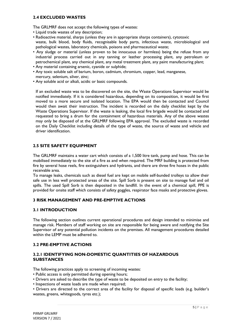#### **2.4 EXCLUDED WASTES**

The GRLMRF does not accept the following types of wastes:

- Liquid trade wastes of any description;
- Radioactive material, sharps (unless they are in appropriate sharps containers), cytotoxic waste, bulk blood, body fluids, recognisable body parts, infectious waste, microbiological and pathological wastes, laboratory chemicals, poisons and pharmaceutical waste;
- Any sludge or material (unless proven to be innocuous or harmless) being the refuse from any industrial process carried out in any tanning or leather processing plant, any petroleum or petrochemical plant, any chemical plant, any metal treatment plant, any paint manufacturing plant;
- Any material containing arsenic, cyanide or sulphide;
- Any toxic soluble salt of barium, boron, cadmium, chromium, copper, lead, manganese, mercury, selenium, silver, zinc;
- Any soluble acid or alkali, acidic or basic compounds.

If an excluded waste was to be discovered on the site, the Waste Operations Supervisor would be notified immediately. If it is considered hazardous, depending on its composition, it would be first moved to a more secure and isolated location. The EPA would then be contacted and Council would then await their instruction. The incident is recorded on the daily checklist kept by the Waste Operations Supervisor. If the waste is leaking, the local fire brigade would be contacted and requested to bring a drum for the containment of hazardous materials. Any of the above wastes may only be disposed of at the GRLMRF following EPA approval. The excluded waste is recorded on the Daily Checklist including details of the type of waste, the source of waste and vehicle and driver identification.

#### **2.5 SITE SAFETY EQUIPMENT**

The GRLMRF maintains a water cart which consists of a 1,500 litre tank, pump and hose. This can be mobilised immediately to the site of a fire as and when required. The MRF building is protected from fire by several hose reels, fire extinguishers and hydrants, and there are three fire hoses in the public receivable area.

To manage leaks, chemicals such as diesel fuel are kept on mobile self-bunded trolleys to allow their safe use in less well protected areas of the site. Spill Sorb is present on site to manage fuel and oil spills. The used Spill Sorb is then deposited in the landfill. In the event of a chemical spill, PPE is provided for onsite staff which consists of safety goggles, respirator face masks and protective gloves.

#### **3 RISK MANAGEMENT AND PRE-EMPTIVE ACTIONS**

#### **3.1 INTRODUCTION**

The following section outlines current operational procedures and design intended to minimise and manage risk. Members of staff working on site are responsible for being aware and notifying the Site Supervisor of any potential pollution incidents on the premises. All management procedures detailed within the LEMP must be adhered to.

#### **3.2 PRE-EMPTIVE ACTIONS**

#### **3.2.1 IDENTIFYING NON-DOMESTIC QUANTITIES OF HAZARDOUS SUBSTANCES**

The following practices apply to screening of incoming wastes:

- Public access is only permitted during opening hours;
- Drivers are asked to describe the type of waste to be deposited on entry to the facility;
- Inspections of waste loads are made when required;

• Drivers are directed to the correct area of the facility for disposal of specific loads (e.g. builder's wastes, greens, whitegoods, tyres etc.);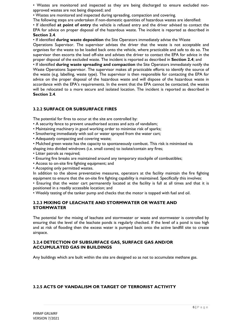• Wastes are monitored and inspected as they are being discharged to ensure excluded nonapproved wastes are not being disposed; and

• Wastes are monitored and inspected during spreading, compaction and covering.

The following steps are undertaken if non-domestic quantities of hazardous wastes are identified:

• If identified **at point of entry** the vehicle is refused entry and the driver advised to contact the EPA for advice on proper disposal of the hazardous waste. The incident is reported as described in **Section 2.4**.

• If identified **during waste deposition** the Site Operators immediately advise the Waste

Operations Supervisor. The supervisor advises the driver that the waste is not acceptable and organises for the waste to be loaded back onto the vehicle, where practicable and safe to do so. The supervisor then escorts the load off-site and advises the driver to contact the EPA for advice in the proper disposal of the excluded waste. The incident is reported as described in **Section 2.4**; and

• If identified **during waste spreading and compaction** the Site Operators immediately notify the Waste Operations Supervisor. The supervisor makes all practicable efforts to identify the source of the waste (e.g. labelling, waste type). The supervisor is then responsible for contacting the EPA for advice on the proper disposal of the hazardous waste and will dispose of the hazardous waste in accordance with the EPA's requirements. In the event that the EPA cannot be contacted, the wastes will be relocated to a more secure and isolated location. The incident is reported as described in **Section 2.4**.

#### **3.2.2 SURFACE OR SUBSURFACE FIRES**

The potential for fires to occur at the site are controlled by:

- A security fence to prevent unauthorised access and acts of vandalism;
- Maintaining machinery in good working order to minimise risk of sparks;
- Smothering immediately with soil or water sprayed from the water cart;
- Adequately compacting and covering waste;

• Mulched green waste has the capacity to spontaneously combust. This risk is minimised via

- shaping into divided windrows (i.e. small cones) to isolate/contain any fires;
- Litter patrols as required;
- Ensuring fire breaks are maintained around any temporary stockpile of combustibles;
- Access to on-site fire fighting equipment; and
- Accepting only permitted wastes.

In addition to the above preventative measures, operators at the facility maintain the fire fighting equipment to ensure that the on-site fire fighting capability is maintained. Specifically this involves:

• Ensuring that the water cart permanently located at the facility is full at all times and that it is positioned in a readily accessible location; and

• Weekly testing of the tanker pump and checks that the motor is topped with fuel and oil.

#### **3.2.3 MIXING OF LEACHATE AND STORMWATER OR WASTE AND STORMWATER**

The potential for the mixing of leachate and stormwater or waste and stormwater is controlled by ensuring that the level of the leachate ponds is regularly checked. If the level of a pond is too high and at risk of flooding then the excess water is pumped back onto the active landfill site to create airspace.

#### **3.2.4 DETECTION OF SUBSURFACE GAS, SURFACE GAS AND/OR ACCUMULATED GAS IN BUILDINGS**

Any buildings which are built within the site are designed so as not to accumulate methane gas.

#### **3.2.5 ACTS OF VANDALISM OR TARGET OF TERRORIST ACTIVITY**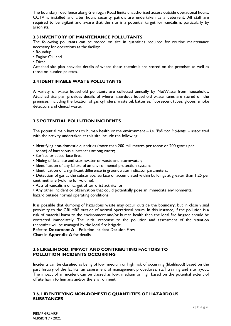The boundary road fence along Glenlogan Road limits unauthorised access outside operational hours. CCTV is installed and after hours security patrols are undertaken as a deterrent. All staff are required to be vigilant and aware that the site is a potential target for vandalism, particularly by arsonists.

#### **3.3 INVENTORY OF MAINTENANCE POLLUTANTS**

The following pollutants can be stored on site in quantities required for routine maintenance necessary for operations at the facility:

- Roundup;
- Engine Oil; and
- Diesel.

Attached site plan provides details of where these chemicals are stored on the premises as well as those on bunded palettes.

#### **3.4 IDENTIFIABLE WASTE POLLUTANTS**

A variety of waste household pollutants are collected annually by NetWaste from households. Attached site plan provides details of where hazardous household waste items are stored on the premises, including the location of gas cylinders, waste oil, batteries, fluorescent tubes, globes, smoke detectors and clinical waste.

#### **3.5 POTENTIAL POLLUTION INCIDENTS**

The potential main hazards to human health or the environment – i.e. '*Pollution Incidents*' – associated with the activity undertaken at this site include the following:

- Identifying non-domestic quantities (more than 200 millimetres per tonne or 200 grams per tonne) of hazardous substances among waste;
- Surface or subsurface fires;
- Mixing of leachate and stormwater or waste and stormwater;
- Identification of any failure of an environmental protection system;
- Identification of a significant difference in groundwater indicator parameters;

• Detection of gas at the subsurface, surface or accumulated within buildings at greater than 1.25 per cent methane (volume for volume);

- Acts of vandalism or target of terrorist activity; or
- Any other incident or observation that could potentially pose an immediate environmental

hazard outside normal operating conditions.

It is possible that dumping of hazardous waste may occur outside the boundary, but in close visual proximity to the GRLMRF outside of normal operational hours. In this instance, if the pollution is a risk of material harm to the environment and/or human health then the local fire brigade should be contacted immediately. The initial response to the pollution and assessment of the situation thereafter will be managed by the local fire brigade.

Refer to **Document A** – Pollution Incident Decision Flow

Chart in **Appendix A** for details.

#### **3.6 LIKELIHOOD, IMPACT AND CONTRIBUTING FACTORS TO POLLUTION INCIDENTS OCCURRING**

Incidents can be classified as being of low, medium or high risk of occurring (likelihood) based on the past history of the facility, an assessment of management procedures, staff training and site layout. The impact of an incident can be classed as low, medium or high based on the potential extent of offsite harm to humans and/or the environment.

#### **3.6.1 IDENTIFYING NON-DOMESTIC QUANTITIES OF HAZARDOUS SUBSTANCES**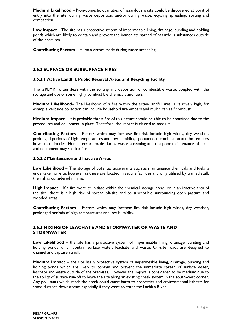**Medium Likelihood** – Non-domestic quantities of hazardous waste could be discovered at point of entry into the site, during waste deposition, and/or during waste/recycling spreading, sorting and compaction.

**Low Impact** – The site has a protective system of impermeable lining, drainage, bunding and holding ponds which are likely to contain and prevent the immediate spread of hazardous substances outside of the premises.

**Contributing Factors** – Human errors made during waste screening.

#### **3.6.2 SURFACE OR SUBSURFACE FIRES**

#### **3.6.2.1 Active Landfill, Public Receival Areas and Recycling Facility**

The GRLMRF often deals with the sorting and deposition of combustible waste, coupled with the storage and use of some highly combustible chemicals and fuels.

**Medium Likelihood**– The likelihood of a fire within the active landfill area is relatively high, for example kerbside collection can include household fire embers and mulch can self combust.

**Medium Impact** – It is probable that a fire of this nature should be able to be contained due to the procedures and equipment in place. Therefore, the impact is classed as medium.

**Contributing Factors –** Factors which may increase fire risk include high winds, dry weather, prolonged periods of high temperatures and low humidity, spontaneous combustion and hot embers in waste deliveries. Human errors made during waste screening and the poor maintenance of plant and equipment may spark a fire.

#### **3.6.2.2 Maintenance and Inactive Areas**

**Low Likelihood** – The storage of potential accelerants such as maintenance chemicals and fuels is undertaken on-site, however as these are located in secure facilities and only utilised by trained staff, the risk is considered minimal.

**High Impact** – If a fire were to initiate within the chemical storage areas, or in an inactive area of the site, there is a high risk of spread off-site and to susceptible surrounding open pasture and wooded areas.

**Contributing Factors** – Factors which may increase fire risk include high winds, dry weather, prolonged periods of high temperatures and low humidity.

#### **3.6.3 MIXING OF LEACHATE AND STORMWATER OR WASTE AND STORMWATER**

**Low Likelihood** – the site has a protective system of impermeable lining, drainage, bunding and holding ponds which contain surface water, leachate and waste. On-site roads are designed to channel and capture runoff.

**Medium Impact** – the site has a protective system of impermeable lining, drainage, bunding and holding ponds which are likely to contain and prevent the immediate spread of surface water, leachate and waste outside of the premises. However the impact is considered to be medium due to the ability of surface run-off to leave the site along an existing creek system in the south-west corner. Any pollutants which reach the creek could cause harm to properties and environmental habitats for some distance downstream especially if they were to enter the Lachlan River.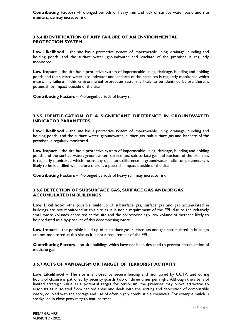#### **3.6.4 IDENTIFICATION OF ANY FAILURE OF AN ENVIRONMENTAL PROTECTION SYSTEM**

**Low Likelihood** – the site has a protective system of impermeable lining, drainage, bunding and holding ponds, and the surface water, groundwater and leachate of the premises is regularly monitored.

**Low Impact** – the site has a protective system of impermeable lining, drainage, bunding and holding ponds and the surface water, groundwater and leachate of the premises is regularly monitored which means any failure in this environmental protection system is likely to be identified before there is potential for impact outside of the site.

**Contributing Factors** – Prolonged periods of heavy rain.

#### **3.6.5 IDENTIFICATION OF A SIGNIFICANT DIFFERENCE IN GROUNDWATER INDICATOR PARAMETERS**

**Low Likelihood** – the site has a protective system of impermeable lining, drainage, bunding and holding ponds, and the surface water, groundwater, surface gas, sub-surface gas and leachate of the premises is regularly monitored.

**Low Impact** – the site has a protective system of impermeable lining, drainage, bunding and holding ponds and the surface water, groundwater, surface gas, sub-surface gas and leachate of the premises is regularly monitored which means any significant difference in groundwater indicator parameters is likely to be identified well before there is a potential impact outside of the site.

**Contributing Factors** – Prolonged periods of heavy rain may increase risk.

#### **3.6.6 DETECTION OF SUBSURFACE GAS, SURFACE GAS AND/OR GAS ACCUMULATED IN BUILDINGS**

**Low Likelihood** –the possible build up of subsurface gas, surface gas and gas accumulated in buildings are not monitored at this site as it is not a requirement of the EPL due to the relatively small waste volumes deposited at the site and the correspondingly low volume of methane likely to be produced as a by-product of this decomposing waste.

**Low Impact** – the possible build up of subsurface gas, surface gas and gas accumulated in buildings are not monitored at this site as it is not a requirement of the EPL.

**Contributing Factors** – on-site buildings which have not been designed to prevent accumulation of methane gas.

#### **3.6.7 ACTS OF VANDALISM OR TARGET OF TERRORIST ACTIVITY**

**Low Likelihood** – The site is enclosed by secure fencing and monitored by CCTV, and during hours of closure is patrolled by security guards two or three times per night. Although the site is of limited strategic value as a potential target for terrorism, the premises may prove attractive to arsonists as it isolated from habited areas and deals with the sorting and deposition of combustible waste, coupled with the storage and use of often highly combustible chemicals. For example mulch is stockpiled in close proximity to mature trees.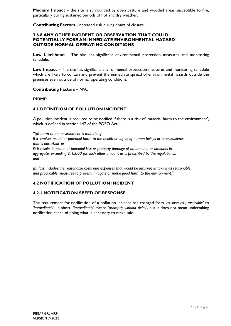**Medium Impact** – the site is surrounded by open pasture and wooded areas susceptible to fire, particularly during sustained periods of hot and dry weather.

**Contributing Factors** –Increased risk during hours of closure.

#### **3.6.8 ANY OTHER INCIDENT OR OBSERVATION THAT COULD POTENTIALLY POSE AN IMMEDIATE ENVIRONMENTAL HAZARD OUTSIDE NORMAL OPERATING CONDITIONS**

**Low Likelihood** – The site has significant environmental protection measures and monitoring schedule.

**Low Impact** – The site has significant environmental protection measures and monitoring schedule which are likely to contain and prevent the immediate spread of environmental hazards outside the premises even outside of normal operating conditions.

**Contributing Factors** – N/A.

#### **PIRMP**

#### **4.1 DEFINITION OF POLLUTION INCIDENT**

A pollution incident is required to be notified if there is a risk of 'material harm to the environment', which is defined in section 147 of the POEO Act:

*"(a) harm to the environment is material if:*

*i) it involves actual or potential harm to the health or safety of human beings or to ecosystems that is not trivial, or*

*ii) it results in actual or potential loss or property damage of an amount, or amounts in aggregate, exceeding \$10,000 (or such other amount as is prescribed by the regulations), and*

*(b) loss includes the reasonable costs and expenses that would be incurred in taking all reasonable and practicable measures to prevent, mitigate or make good harm to the environment."*

#### **4.2 NOTIFICATION OF POLLUTION INCIDENT**

#### **4.2.1 NOTIFICATION SPEED OF RESPONSE**

The requirement for notification of a pollution incident has changed from *'as soon as practicable'* to *'immediately'*. In short, *'immediately'* means *'promptly without delay'*, but it does not mean undertaking notification ahead of doing what is necessary to make safe.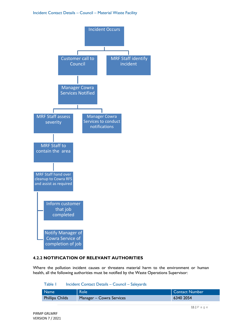#### Incident Contact Details – Council – Material Waste Facility



#### **4.2.2 NOTIFICATION OF RELEVANT AUTHORITIES**

Where the pollution incident causes or threatens material harm to the environment or human health, all the following authorities must be notified by the Waste Operations Supervisor:

#### Table 1 Incident Contact Details – Council – Saleyards

| Mame <sup>1</sup> | Role                     | <b>Contact Number</b> |
|-------------------|--------------------------|-----------------------|
| Phillipa Childs   | Manager – Cowra Services | 6340 2054             |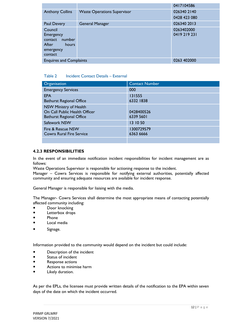|                                |                                    | 0417104586   |
|--------------------------------|------------------------------------|--------------|
| <b>Anthony Collins</b>         | <b>Waste Operations Supervisor</b> | 026340 2140  |
|                                |                                    | 0428 423 080 |
| Paul Devery                    | <b>General Manager</b>             | 026340 2013  |
| Council                        |                                    | 0263402000   |
| Emergency                      |                                    | 0419219231   |
| number<br>contact              |                                    |              |
| After<br>hours                 |                                    |              |
| emergency                      |                                    |              |
| contact                        |                                    |              |
| <b>Enquires and Complaints</b> | 0263 402000                        |              |

#### Table 2 Incident Contact Details – External

| Organisation                                                                                      | <b>Contact Number</b>   |
|---------------------------------------------------------------------------------------------------|-------------------------|
| <b>Emergency Services</b>                                                                         | 000                     |
| <b>EPA</b><br><b>Bathurst Regional Office</b>                                                     | 131555<br>6332 1838     |
| <b>NSW Ministry of Health</b><br>On Call Public Health Officer<br><b>Bathurst Regional Office</b> | 0428400526<br>6339 5601 |
| Safework NSW                                                                                      | 13 10 50                |
| Fire & Rescue NSW<br><b>Cowra Rural Fire Service</b>                                              | 1300729579<br>6363 6666 |
|                                                                                                   |                         |

#### **4.2.3 RESPONSIBILITIES**

In the event of an immediate notification incident responsibilities for incident management are as follows:

Waste Operations Supervisor is responsible for actioning response to the incident.

Manager – Cowra Services is responsible for notifying external authorities, potentially affected community and ensuring adequate resources are available for incident response.

General Manager is responsible for liaising with the media.

The Manager- Cowra Services shall determine the most appropriate means of contacting potentially affected community including:

- **•** Door knocking
- Letterbox drops
- Phone
- Local media
- **•** Signage.

Information provided to the community would depend on the incident but could include:

- Description of the incident
- Status of incident
- Response actions
- Actions to minimise harm
- Likely duration.

As per the EPLs, the licensee must provide written details of the notification to the EPA within seven days of the date on which the incident occurred.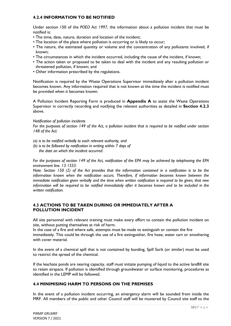#### **4.2.4 INFORMATION TO BE NOTIFIED**

Under section 150 of the *POEO Act 1997*, the information about a pollution incident that must be notified is:

- The time, date, nature, duration and location of the incident;
- The location of the place where pollution is occurring or is likely to occur;
- The nature, the estimated quantity or volume and the concentration of any pollutants involved, if known;
- The circumstances in which the incident occurred, including the cause of the incident, if known;
- The action taken or proposed to be taken to deal with the incident and any resulting pollution or threatened pollution, if known; and
- Other information prescribed by the regulations.

Notification is required by the Waste Operations Supervisor immediately after a pollution incident becomes known. Any information required that is not known at the time the incident is notified must be provided when it becomes known.

A Pollution Incident Reporting Form is produced in **Appendix A** to assist the Waste Operations Supervisor in correctly recording and notifying the relevant authorities as detailed in **Section 4.2.3** above.

*Notification of pollution incidents*

*For the purposes of section 149 of the Act, a pollution incident that is required to be notified under section 148 of the Act:*

- *(a) is to be notified verbally to each relevant authority, and*
- *(b) is to be followed by notification in writing within 7 days of the date on which the incident occurred.*

*For the purposes of section 149 of the Act, notification of the EPA may be achieved by telephoning the EPA environment line. 13 1555*

*Note. Section 150 (2) of the Act provides that the information contained in a notification is to be the information known when the notification occurs. Therefore, if information becomes known between the immediate notification given verbally and the time when written notification is required to be given, that new information will be required to be notified immediately after it becomes known and to be included in the written notification.*

#### **4.3 ACTIONS TO BE TAKEN DURING OR IMMEDIATELY AFTER A POLLUTION INCIDENT**

All site personnel with relevant training must make every effort to contain the pollution incident on site, without putting themselves at risk of harm.

In the case of a fire and where safe, attempts must be made to extinguish or contain the fire immediately. This could be through the use of a fire extinguisher, fire hose, water cart or smothering with cover material.

In the event of a chemical spill that is not contained by bunding, Spill Sorb (or similar) must be used to restrict the spread of the chemical.

If the leachate ponds are nearing capacity, staff must initiate pumping of liquid to the active landfill site to retain airspace. If pollution is identified through groundwater or surface monitoring, procedures as identified in the LEMP will be followed.

#### **4.4 MINIMISING HARM TO PERSONS ON THE PREMISES**

In the event of a pollution incident occurring, an emergency alarm will be sounded from inside the MRF. All members of the public and other Council staff will be mustered by Council site staff to the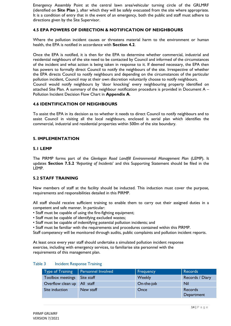Emergency Assembly Point at the central lawn area/vehicular turning circle of the GRLMRF (identified on **Site Plan** ), after which they will be safely evacuated from the site where appropriate. It is a condition of entry that in the event of an emergency, both the public and staff must adhere to directions given by the Site Supervisor.

#### **4.5 EPA POWERS OF DIRECTION & NOTIFICATION OF NEIGHBOURS**

Where the pollution incident causes or threatens material harm to the environment or human health, the EPA is notified in accordance with **Section 4.2**.

Once the EPA is notified, it is then for the EPA to determine whether commercial, industrial and residential neighbours of the site need to be contacted by Council and informed of the circumstances of the incident and what action is being taken in response to it. If deemed necessary, the EPA then has powers to formally direct Council to notify the neighbours of the site. Irrespective of whether the EPA directs Council to notify neighbours and depending on the circumstances of the particular pollution incident, Council may at their own discretion voluntarily choose to notify neighbours. Council would notify neighbours by 'door knocking' every neighbouring property identified on attached Site Plan. A summary of the neighbour notification procedure is provided in Document A – Pollution Incident Decision Flow Chart in **Appendix A**.

#### **4.6 IDENTIFICATION OF NEIGHBOURS**

To assist the EPA in its decision as to whether it needs to direct Council to notify neighbours and to assist Council in visiting all the local neighbours, enclosed is aerial plan which identifies the commercial, industrial and residential properties within 500m of the site boundary.

#### **5. IMPLEMENTATION**

#### **5.1 LEMP**

The PIRMP forms part of the *Glenlogan Road Landfill Environmental Management Plan* (LEMP). It updates **Section 7.5.2** '*Reporting of Incidents*' and this Supporting Statement should be filed in the LEMP.

#### **5.2 STAFF TRAINING**

New members of staff at the facility should be inducted. This induction must cover the purpose, requirements and responsibilities detailed in this PIRMP.

All staff should receive sufficient training to enable them to carry out their assigned duties in a competent and safe manner. In particular:

- Staff must be capable of using the fire-fighting equipment;
- Staff must be capable of identifying excluded wastes;
- Staff must be capable of indentifying potential pollution incidents; and

• Staff must be familiar with the requirements and procedures contained within this PIRMP.

Staff competency will be monitored through audits, public complaints and pollution incident reports.

At least once every year staff should undertake a simulated pollution incident response exercise, including with emergency services, to familiarise site personnel with the requirements of this management plan.

| <b>Type of Training</b> | Personnel Involved | Frequency     | <b>Records</b>               |
|-------------------------|--------------------|---------------|------------------------------|
| Toolbox meetings        | Site staff         | <b>Weekly</b> | Records / Diary              |
| Overflow clean up       | All staff          | On-the-job    | Nil                          |
| Site induction          | New staff          | Once          | <b>Records</b><br>Department |

#### Table 3 Incident Response Training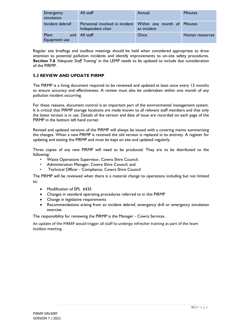| Emergency<br>simulation       | All staff                                                                       | Annual      | <b>Minutes</b>  |
|-------------------------------|---------------------------------------------------------------------------------|-------------|-----------------|
| Incident debrief              | Personnel involved in incident Within one month of Minutes<br>Independent chair | an incident |                 |
| Plant<br>and<br>Equipment use | All staff                                                                       | Once        | Human resources |

Regular site briefings and toolbox meetings should be held when considered appropriate to draw attention to potential pollution incidents and identify improvements to on-site safety procedures. **Section 7.6** *'Adequate Staff Training'* in the LEMP needs to be updated to include due consideration of the PIRMP.

#### **5.3 REVIEW AND UPDATE PIRMP**

The PIRMP is a living document required to be reviewed and updated at least once every 12 months to ensure accuracy and effectiveness. A review must also be undertaken within one month of any pollution incident occurring.

For these reasons, document control is an important part of the environmental management system. It is critical that PIRMP storage locations are made known to all relevant staff members and that only the latest version is in use. Details of the version and date of issue are recorded on each page of the PIRMP in the bottom left hand corner.

Revised and updated versions of the PIRMP will always be issued with a covering memo summarising the changes. When a new PIRMP is received the old version is replaced in its entirety. A register for updating and testing the PIRMP and must be kept on site and updated regularly.

Three copies of any new PIRMP will need to be produced. They are to be distributed to the following:

- Waste Operations Supervisor, Cowra Shire Council;
- Administration Manager, Cowra Shire Council; and
- Technical Officer Compliance, Cowra Shire Council

The PIRMP will be reviewed when there is a material change to operations including but not limited to:

- Modification of EPL 6435
- Changes in standard operating procedures referred to in this PIRMP
- Change in legislative requirements
- Recommendations arising from an incident debrief, emergency drill or emergency simulation exercise.

The responsibility for reviewing the PIRMP is the Manager - Cowra Services .

An update of the PIRMP would trigger all staff to undergo refresher training as part of the team toolbox meeting.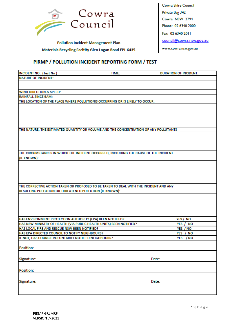

**Pollution Incident Management Plan Materials Recycling Facitity Glen Logan Road EPL 6435** 

#### PIRMP / POLLUTION INCIDENT REPORTING FORM / TEST

| <b>INCIDENT NO: (Test No)</b>                                                                              | TIME: | <b>DURATION OF INCIDENT:</b> |
|------------------------------------------------------------------------------------------------------------|-------|------------------------------|
| <b>NATURE OF INCIDENT:</b>                                                                                 |       |                              |
|                                                                                                            |       |                              |
|                                                                                                            |       |                              |
| <b>WIND DIRECTION &amp; SPEED:</b>                                                                         |       |                              |
| <b>RAINFALL SINCE 9AM:</b><br>THE LOCATION OF THE PLACE WHERE POLLUTIONIS OCCURRING OR IS LIKELY TO OCCUR: |       |                              |
|                                                                                                            |       |                              |
|                                                                                                            |       |                              |
|                                                                                                            |       |                              |
|                                                                                                            |       |                              |
|                                                                                                            |       |                              |
| THE NATURE, THE ESTIMATED QUANTITY OR VOLUME AND THE CONCENTRATION OF ANY POLLUTANTS                       |       |                              |
|                                                                                                            |       |                              |
|                                                                                                            |       |                              |
|                                                                                                            |       |                              |
| THE CIRCUMSTANCES IN WHICH THE INCIDENT OCCURRED, INCLUDING THE CAUSE OF THE INCIDENT                      |       |                              |
| (IF KNOWN):                                                                                                |       |                              |
|                                                                                                            |       |                              |
|                                                                                                            |       |                              |
|                                                                                                            |       |                              |
|                                                                                                            |       |                              |
| THE CORRECTIVE ACTION TAKEN OR PROPOSED TO BE TAKEN TO DEAL WITH THE INCIDENT AND ANY                      |       |                              |
| RESULTING POLLUTION OR THREATENED POLLUTION (IF KNOWN):                                                    |       |                              |
|                                                                                                            |       |                              |
|                                                                                                            |       |                              |
|                                                                                                            |       |                              |
|                                                                                                            |       |                              |
| HAS ENVIRONMENT PROTECTION AUTHORITY (EPA) BEEN NOTIFIED?                                                  |       | YES / NO                     |
| HAS NSW MINISTRY OF HEALTH (VIA PUBLIC HEALTH UNITS) BEEN NOTIFIED?                                        |       | YES / NO                     |
| HAS LOCAL FIRE AND RESCUE NSW BEEN NOTIFIED?                                                               |       | YES / NO                     |
| HAS EPA DIRECTED COUNCIL TO NOTIFY NEIGHBOURS?<br>IF NOT, HAS COUNCIL VOLUNTARILY NOTIFIED NEIGHBOURS?     |       | YES / NO<br>YES / NO         |
|                                                                                                            |       |                              |
| Position:                                                                                                  |       |                              |
|                                                                                                            |       |                              |
| Signature:                                                                                                 |       | Date:                        |
|                                                                                                            |       |                              |
| Position:                                                                                                  |       |                              |
|                                                                                                            |       |                              |
| Signature:                                                                                                 |       | Date:                        |
|                                                                                                            |       |                              |
|                                                                                                            |       |                              |

Cowra Shire Council Private Bag 342 Cowra NSW 2794 Phone: 02 6340 2000 Fax: 02 6340 2011 council@cowra.nsw.gov.au www.cowra.nsw.gov.au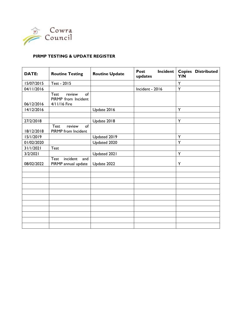

#### **PIRMP TESTING & UPDATE REGISTER**

| <b>DATE:</b> | <b>Routine Testing</b>                                             | <b>Routine Update</b> | <b>Incident</b><br><b>Post</b><br>updates | <b>Copies Distributed</b><br>Y/N |
|--------------|--------------------------------------------------------------------|-----------------------|-------------------------------------------|----------------------------------|
| 15/07/2015   | Test - 2015                                                        |                       |                                           | Y                                |
| 04/11/2016   |                                                                    |                       | Incident - 2016                           | Y                                |
| 06/12/2016   | <b>Test</b><br>of<br>review<br>PIRMP from Incident<br>4/11/16 Fire |                       |                                           |                                  |
| 14/12/2016   |                                                                    | Update 2016           |                                           | Y                                |
|              |                                                                    |                       |                                           |                                  |
| 27/2/2018    |                                                                    | Update 2018           |                                           | Y                                |
| 18/12/2018   | <b>Test</b><br>of<br>review<br>PIRMP from Incident                 |                       |                                           |                                  |
| 15/1/2019    |                                                                    | Updated 2019          |                                           | Y                                |
| 01/02/2020   |                                                                    | Updated 2020          |                                           | Y                                |
| 31/1/2021    | Test                                                               |                       |                                           |                                  |
| 3/2/2021     |                                                                    | Updated 2021          |                                           | Y                                |
| 08/02/2022   | Test<br>incident<br>and<br>PIRMP annual update                     | Update 2022           |                                           | Y                                |
|              |                                                                    |                       |                                           |                                  |
|              |                                                                    |                       |                                           |                                  |
|              |                                                                    |                       |                                           |                                  |
|              |                                                                    |                       |                                           |                                  |
|              |                                                                    |                       |                                           |                                  |
|              |                                                                    |                       |                                           |                                  |
|              |                                                                    |                       |                                           |                                  |
|              |                                                                    |                       |                                           |                                  |
|              |                                                                    |                       |                                           |                                  |
|              |                                                                    |                       |                                           |                                  |
|              |                                                                    |                       |                                           |                                  |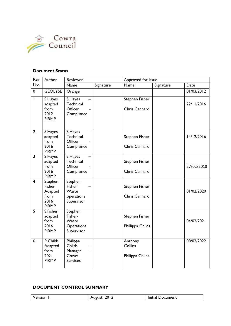

#### **Document Status**

| Rev                      | Author                                                       | Reviewer                                                  |           | Approved for Issue                    |           |            |
|--------------------------|--------------------------------------------------------------|-----------------------------------------------------------|-----------|---------------------------------------|-----------|------------|
| No.                      |                                                              | Name                                                      | Signature | Name                                  | Signature | Date       |
| 0                        | <b>GEOLYSE</b>                                               | Orange                                                    |           |                                       |           | 01/03/2012 |
| $\overline{\phantom{a}}$ | S.Hayes<br>adapted<br>from<br>2012<br><b>PIRMP</b>           | S.Hayes<br>Technical<br>Officer<br>Compliance             |           | Stephen Fisher<br>Chris Cannard       |           | 22/11/2016 |
| $\overline{2}$           | S.Hayes<br>adapted<br>from<br>2016<br><b>PIRMP</b>           | S.Hayes<br>Technical<br>Officer<br>Compliance             |           | Stephen Fisher<br>Chris Cannard       |           | 14/12/2016 |
| $\overline{3}$           | S.Hayes<br>adapted<br>from<br>2016<br><b>PIRMP</b>           | S.Hayes<br><b>Technical</b><br>Officer<br>Compliance      |           | Stephen Fisher<br>Chris Cannard       |           | 27/02/2018 |
| $\overline{4}$           | Stephen<br>Fisher<br>Adapted<br>from<br>2016<br><b>PIRMP</b> | Stephen<br>Fisher<br>Waste<br>operations<br>Supervisor    |           | Stephen Fisher<br>Chris Cannard       |           | 01/02/2020 |
| $\overline{5}$           | S.Fisher<br>adapted<br>from<br>2016<br><b>PIRMP</b>          | Stephen<br>Fisher-<br>Waste<br>Operations<br>Supervisor   |           | Stephen Fisher<br>Phillippa Childs    |           | 04/02/2021 |
| 6                        | P Childs<br>Adapted<br>from<br>2021<br><b>PIRMP</b>          | Philippa<br>Childs<br>Manager<br>Cowra<br><b>Services</b> |           | Anthony<br>Collins<br>Philippa Childs |           | 08/02/2022 |

### **DOCUMENT CONTROL SUMMARY**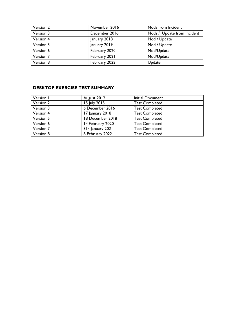| Version 2 | November 2016 | Mods from Incident          |
|-----------|---------------|-----------------------------|
| Version 3 | December 2016 | Mods / Update from Incident |
| Version 4 | January 2018  | Mod / Update                |
| Version 5 | January 2019  | Mod / Update                |
| Version 6 | February 2020 | Mod/Update                  |
| Version 7 | February 2021 | Mod/Update                  |
| Version 8 | February 2022 | Update                      |

#### **DESKTOP EXERCISE TEST SUMMARY**

| Version I | August 2012         | <b>Initial Document</b> |
|-----------|---------------------|-------------------------|
| Version 2 | 15 July 2015        | <b>Test Completed</b>   |
| Version 3 | 6 December 2016     | <b>Test Completed</b>   |
| Version 4 | 17 January 2018     | <b>Test Completed</b>   |
| Version 5 | 18 December 2018    | <b>Test Completed</b>   |
| Version 6 | Ist February 2020   | <b>Test Completed</b>   |
| Version 7 | $31st$ January 2021 | <b>Test Completed</b>   |
| Version 8 | 8 February 2022     | <b>Test Completed</b>   |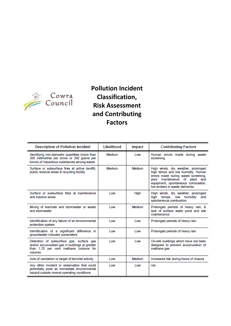

# **Pollution Incident Classification, Risk Assessment and Contributing Factors**

| <b>Description of Pollution Incident</b>                                                                                                        | Likelihood | Impact     | <b>Contributing Factors</b>                                                                                                                                                                                               |
|-------------------------------------------------------------------------------------------------------------------------------------------------|------------|------------|---------------------------------------------------------------------------------------------------------------------------------------------------------------------------------------------------------------------------|
| Identifying non-domestic quantities (more than<br>200 millimetres per tonne or 200 grams per<br>tonne) of hazardous substances among waste      | Medium     | Low        | Human errors made during waste<br>screening                                                                                                                                                                               |
| Surface or subsurface fires at active landfill.<br>public receival areas & recycling facility                                                   | Medium     | Medium     | High winds, dry weather, prolonged<br>high temps and low humidity. Human<br>errors made during waste screening,<br>poor maintenance of plant and<br>equipment, spontaneous combustion,<br>hot embers in waste deliveries. |
| Surface or subsurface fires at maintenance<br>and inactive areas                                                                                | Low        | High       | High winds, dry weather, prolonged<br>temps, low humidity<br>hiah<br>and<br>spontaneous combustion.                                                                                                                       |
| Mixing of leachate and stormwater or waste<br>and stormwater                                                                                    | Low        | Medium     | Prolonged periods of heavy rain, &<br>lack of surface water pond and site<br><i>maintenance</i>                                                                                                                           |
| Identification of any failure of an environmental<br>protection system                                                                          | <b>Low</b> | <b>Low</b> | Prolonged periods of heavy rain.                                                                                                                                                                                          |
| Identification of a significant difference in<br>groundwater indicator parameters                                                               | <b>Low</b> | <b>Low</b> | Prolonged periods of heavy rain                                                                                                                                                                                           |
| Detection of subsurface gas, surface gas<br>and/or accumulated gas in buildings at greater<br>than 1.25 per cent methane (volume for<br>volume) | Low        | Low        | On-site buildings which have not been<br>designed to prevent accumulation of<br>methane gas                                                                                                                               |
| Acts of vandalism or target of terrorist activity                                                                                               | Low        | Medium     | Increased risk during hours of closure                                                                                                                                                                                    |
| Any other incident or observation that could<br>potentially pose an immediate environmental<br>hazard outside normal operating conditions       | <b>Low</b> | <b>Low</b> | n/a                                                                                                                                                                                                                       |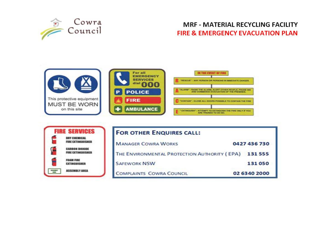

## **MRF - MATERIAL RECYCLING FACILITY FIRE & EMERGENCY EVACUATION PLAN**



| <b>FIRE SERVICES</b>                              | <b>FOR OTHER ENQUIRES CALL:</b>              |              |
|---------------------------------------------------|----------------------------------------------|--------------|
| <b>DRY CHEMICAL</b><br>FIRE EXTINGUISHER          | <b>MANAGER COWRA WORKS</b>                   | 0427 436 730 |
| <b>CARRON BIOXIDE</b><br><b>FIRE EXTINGUISHER</b> | THE ENVIRONMENTAL PROTECTION AUTHORITY (EPA) | 131555       |
| <b>FOAM FIRE</b><br><b><i>EXTINGHISMSR</i></b>    | <b>SAFEWORK NSW</b>                          | 131050       |
| <b>ASSEMBLY AREA</b>                              | <b>COMPLAINTS COWRA COUNCIL</b>              | 02 6340 2000 |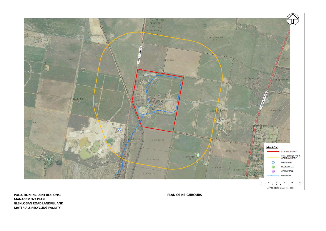

**POLLUTION INCIDENT RESPONSE PLAN OF NEIGHBOURS MANAGEMENT PLAN GLENLOGAN ROAD LANDFILL AND MATERIALS RECYCLING FACILITY**